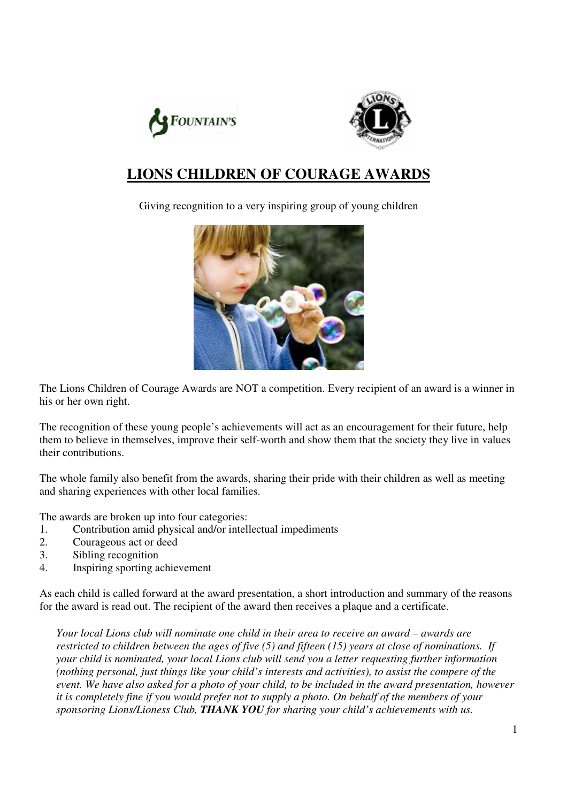



### **LIONS CHILDREN OF COURAGE AWARDS**

Giving recognition to a very inspiring group of young children



The Lions Children of Courage Awards are NOT a competition. Every recipient of an award is a winner in his or her own right.

The recognition of these young people's achievements will act as an encouragement for their future, help them to believe in themselves, improve their self-worth and show them that the society they live in values their contributions.

The whole family also benefit from the awards, sharing their pride with their children as well as meeting and sharing experiences with other local families.

The awards are broken up into four categories:

- 1. Contribution amid physical and/or intellectual impediments
- 2. Courageous act or deed
- 3. Sibling recognition
- 4. Inspiring sporting achievement

As each child is called forward at the award presentation, a short introduction and summary of the reasons for the award is read out. The recipient of the award then receives a plaque and a certificate.

*Your local Lions club will nominate one child in their area to receive an award – awards are restricted to children between the ages of five (5) and fifteen (15) years at close of nominations. If your child is nominated, your local Lions club will send you a letter requesting further information (nothing personal, just things like your child's interests and activities), to assist the compere of the event. We have also asked for a photo of your child, to be included in the award presentation, however it is completely fine if you would prefer not to supply a photo. On behalf of the members of your sponsoring Lions/Lioness Club, THANK YOU for sharing your child's achievements with us.*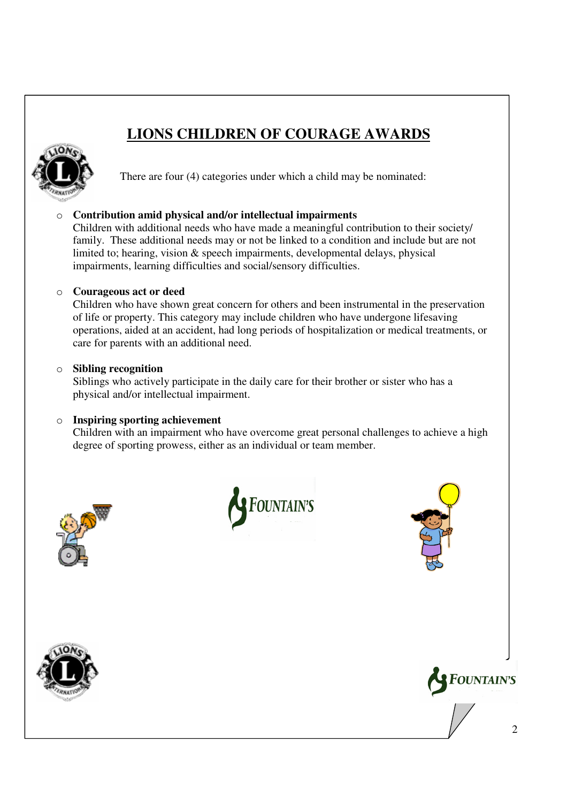## **LIONS CHILDREN OF COURAGE AWARDS**



There are four (4) categories under which a child may be nominated:

o **Contribution amid physical and/or intellectual impairments** 

Children with additional needs who have made a meaningful contribution to their society/ family. These additional needs may or not be linked to a condition and include but are not limited to; hearing, vision & speech impairments, developmental delays, physical impairments, learning difficulties and social/sensory difficulties.

#### o **Courageous act or deed**

Children who have shown great concern for others and been instrumental in the preservation of life or property. This category may include children who have undergone lifesaving operations, aided at an accident, had long periods of hospitalization or medical treatments, or care for parents with an additional need.

#### o **Sibling recognition**

Siblings who actively participate in the daily care for their brother or sister who has a physical and/or intellectual impairment.

#### o **Inspiring sporting achievement**

Children with an impairment who have overcome great personal challenges to achieve a high degree of sporting prowess, either as an individual or team member.







**FOUNTAIN'S**